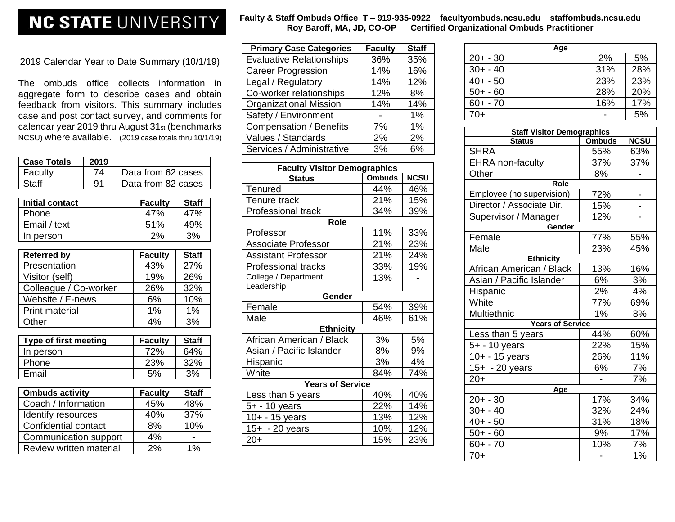## **NC STATE UNIVERSITY**

2019 Calendar Year to Date Summary (10/1/19)

The ombuds office collects information in aggregate form to describe cases and obtain feedback from visitors. This summary includes case and post contact survey, and comments for calendar year 2019 thru August 31st (benchmarks NCSU) where available. (2019 case totals thru 10/1/19)

|                         | 2019                  |                    |                |              |  |  |
|-------------------------|-----------------------|--------------------|----------------|--------------|--|--|
| <b>Case Totals</b>      |                       |                    |                |              |  |  |
| Faculty                 | 74                    | Data from 62 cases |                |              |  |  |
| <b>Staff</b>            | 91                    | Data from 82 cases |                |              |  |  |
|                         |                       |                    |                |              |  |  |
| <b>Initial contact</b>  |                       |                    | <b>Faculty</b> | <b>Staff</b> |  |  |
| Phone                   |                       |                    | 47%            | 47%          |  |  |
| Email / text            |                       |                    | 51%            | 49%          |  |  |
| In person               |                       |                    | 2%             | 3%           |  |  |
|                         |                       |                    |                |              |  |  |
| <b>Referred by</b>      |                       |                    | <b>Faculty</b> | <b>Staff</b> |  |  |
| Presentation            |                       |                    | 43%            | 27%          |  |  |
| Visitor (self)          |                       |                    | 19%            | 26%          |  |  |
| Colleague / Co-worker   |                       | 26%                | 32%            |              |  |  |
| Website / E-news        |                       | 6%                 | 10%            |              |  |  |
| <b>Print material</b>   |                       | 1%                 | $1\%$          |              |  |  |
| Other                   |                       | 4%                 | 3%             |              |  |  |
| Type of first meeting   |                       | <b>Faculty</b>     | <b>Staff</b>   |              |  |  |
| In person               |                       |                    | 72%            | 64%          |  |  |
| Phone                   |                       |                    | 23%            | 32%          |  |  |
| Email                   |                       | 5%<br>3%           |                |              |  |  |
|                         |                       |                    |                |              |  |  |
| <b>Ombuds activity</b>  |                       |                    | <b>Faculty</b> | <b>Staff</b> |  |  |
| Coach / Information     |                       |                    | 45%            | 48%          |  |  |
|                         | Identify resources    |                    | 40%            | 37%          |  |  |
|                         | Confidential contact  |                    | 8%             | 10%          |  |  |
|                         | Communication support |                    | 4%             |              |  |  |
| Review written material |                       | 2%                 | 1%             |              |  |  |

| <b>Primary Case Categories</b>  | <b>Faculty</b> | <b>Staff</b> |
|---------------------------------|----------------|--------------|
| <b>Evaluative Relationships</b> | 36%            | 35%          |
| <b>Career Progression</b>       | 14%            | 16%          |
| Legal / Regulatory              | 14%            | 12%          |
| Co-worker relationships         | 12%            | 8%           |
| <b>Organizational Mission</b>   | 14%            | 14%          |
| Safety / Environment            |                | 1%           |
| <b>Compensation / Benefits</b>  | 7%             | 1%           |
| Values / Standards              | 2%             | 2%           |
| Services / Administrative       | 3%             | 6%           |

| <b>Faculty Visitor Demographics</b> |               |             |  |  |
|-------------------------------------|---------------|-------------|--|--|
| <b>Status</b>                       | <b>Ombuds</b> | <b>NCSU</b> |  |  |
| Tenured                             | 44%           | 46%         |  |  |
| Tenure track                        | 21%           | 15%         |  |  |
| Professional track                  | 34%           | 39%         |  |  |
| <b>Role</b>                         |               |             |  |  |
| Professor                           | 11%           | 33%         |  |  |
| <b>Associate Professor</b>          | 21%           | 23%         |  |  |
| <b>Assistant Professor</b>          | 21%           | 24%         |  |  |
| <b>Professional tracks</b>          | 33%           | 19%         |  |  |
| College / Department                | 13%           |             |  |  |
| Leadership                          |               |             |  |  |
| Gender                              |               |             |  |  |
| Female                              | 54%           | 39%         |  |  |
| Male                                | 46%           | 61%         |  |  |
| <b>Ethnicity</b>                    |               |             |  |  |
| African American / Black            | 3%            | 5%          |  |  |
| Asian / Pacific Islander            | 8%            | 9%          |  |  |
| Hispanic                            | 3%            | 4%          |  |  |
| White                               | 84%           | 74%         |  |  |
| <b>Years of Service</b>             |               |             |  |  |
| Less than 5 years                   | 40%           | 40%         |  |  |
| 5+ - 10 years                       | 22%           | 14%         |  |  |
| 10+ - 15 years                      | 13%           | 12%         |  |  |
| 15+ - 20 years                      | 10%           | 12%         |  |  |
| $20+$                               | 15%           | 23%         |  |  |

| Age         |     |     |
|-------------|-----|-----|
| $20 + -30$  | 2%  | 5%  |
| $30 + -40$  | 31% | 28% |
| $40 + -50$  | 23% | 23% |
| $50 + -60$  | 28% | 20% |
| $60 + - 70$ | 16% | 17% |
| $70+$       |     | 5%  |
|             |     |     |

| <b>Staff Visitor Demographics</b> |               |             |  |  |  |  |
|-----------------------------------|---------------|-------------|--|--|--|--|
| <b>Status</b>                     | <b>Ombuds</b> | <b>NCSU</b> |  |  |  |  |
| <b>SHRA</b>                       | 55%           | 63%         |  |  |  |  |
| <b>EHRA</b> non-faculty           | 37%           | 37%         |  |  |  |  |
| Other                             | 8%            |             |  |  |  |  |
| Role                              |               |             |  |  |  |  |
| Employee (no supervision)         | 72%           |             |  |  |  |  |
| Director / Associate Dir.         | 15%           |             |  |  |  |  |
| Supervisor / Manager              | 12%           |             |  |  |  |  |
| Gender                            |               |             |  |  |  |  |
| Female                            | 77%           | 55%         |  |  |  |  |
| Male                              | 23%           | 45%         |  |  |  |  |
| <b>Ethnicity</b>                  |               |             |  |  |  |  |
| African American / Black          | 13%           | 16%         |  |  |  |  |
| Asian / Pacific Islander          | 6%            | 3%          |  |  |  |  |
| Hispanic                          | 2%            | 4%          |  |  |  |  |
| White                             | 77%           | 69%         |  |  |  |  |
| Multiethnic                       | 1%            | 8%          |  |  |  |  |
| <b>Years of Service</b>           |               |             |  |  |  |  |
| Less than 5 years                 | 44%           | 60%         |  |  |  |  |
| 5+ - 10 years                     | 22%           | 15%         |  |  |  |  |
| 10+ - 15 years                    | 26%           | 11%         |  |  |  |  |
| 15+ - 20 years                    | 6%            | 7%          |  |  |  |  |
| $20+$                             |               | 7%          |  |  |  |  |
| Age                               |               |             |  |  |  |  |
| $20 + -30$                        | 17%           | 34%         |  |  |  |  |
| $30 + -40$                        | 32%           | 24%         |  |  |  |  |
| $40 + -50$                        | 31%           | 18%         |  |  |  |  |
| $50 + -60$                        | 9%            | 17%         |  |  |  |  |
| $60 + -70$                        | 10%           | 7%          |  |  |  |  |
| $70+$                             |               | 1%          |  |  |  |  |

## **Faulty & Staff Ombuds Office T – 919-935-0922 facultyombuds.ncsu.edu staffombuds.ncsu.edu Roy Baroff, MA, JD, CO-OP Certified Organizational Ombuds Practitioner**